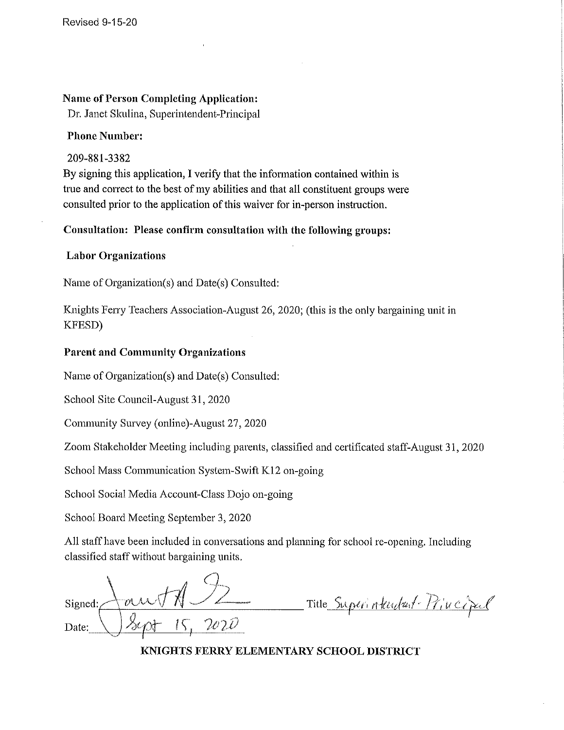### **Name of Person Completing Application:**

Dr. Janet Skulina, Superintendent-Principal

#### **Phone Number:**

### 209-881-3382

By signing this application, I verify that the information contained within is true and correct to the best of my abilities and that all constituent groups were consulted prior to the application of this waiver for in-person instruction.

Consultation: Please confirm consultation with the following groups:

### **Labor Organizations**

Name of Organization(s) and Date(s) Consulted:

Knights Ferry Teachers Association-August 26, 2020; (this is the only bargaining unit in KFESD)

### **Parent and Community Organizations**

Name of Organization(s) and Date(s) Consulted:

School Site Council-August 31, 2020

Community Survey (online)-August 27, 2020

Zoom Stakeholder Meeting including parents, classified and certificated staff-August 31, 2020

School Mass Communication System-Swift K12 on-going

School Social Media Account-Class Dojo on-going

School Board Meeting September 3, 2020

All staff have been included in conversations and planning for school re-opening. Including classified staff without bargaining units.

Signed: Date:

Title Superintendant Pincipal

KNIGHTS FERRY ELEMENTARY SCHOOL DISTRICT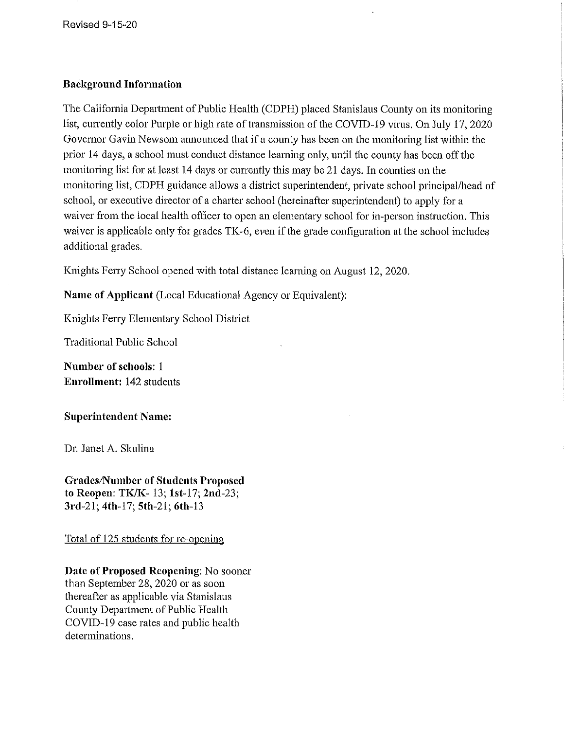**Revised 9-15-20** 

#### **Background Information**

The California Department of Public Health (CDPH) placed Stanislaus County on its monitoring list, currently color Purple or high rate of transmission of the COVID-19 virus. On July 17, 2020 Governor Gavin Newsom announced that if a county has been on the monitoring list within the prior 14 days, a school must conduct distance learning only, until the county has been off the monitoring list for at least 14 days or currently this may be 21 days. In counties on the monitoring list, CDPH guidance allows a district superintendent, private school principal/head of school, or executive director of a charter school (hereinafter superintendent) to apply for a waiver from the local health officer to open an elementary school for in-person instruction. This waiver is applicable only for grades TK-6, even if the grade configuration at the school includes additional grades.

Knights Ferry School opened with total distance learning on August 12, 2020.

Name of Applicant (Local Educational Agency or Equivalent):

Knights Ferry Elementary School District

Traditional Public School

Number of schools: 1 **Enrollment: 142 students** 

**Superintendent Name:** 

Dr. Janet A. Skulina

**Grades/Number of Students Proposed** to Reopen: TK/K-13; 1st-17; 2nd-23; 3rd-21; 4th-17; 5th-21; 6th-13

Total of 125 students for re-opening

Date of Proposed Reopening: No sooner than September 28, 2020 or as soon thereafter as applicable via Stanislaus County Department of Public Health COVID-19 case rates and public health determinations.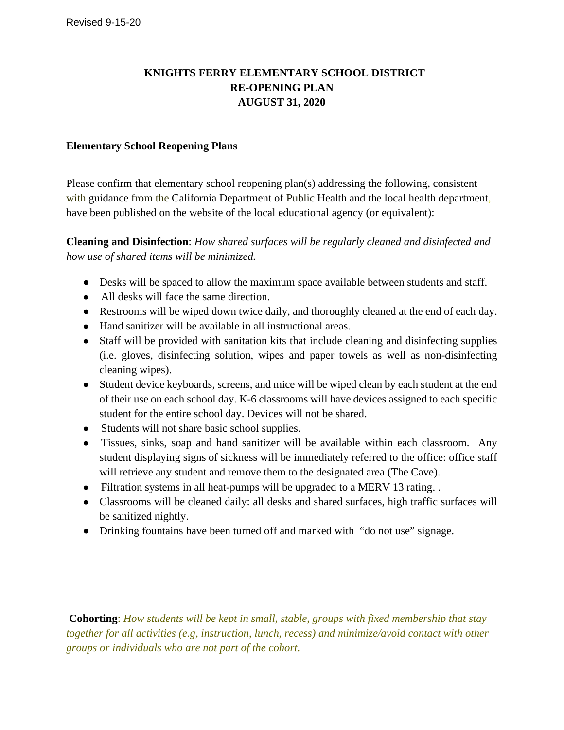# **KNIGHTS FERRY ELEMENTARY SCHOOL DISTRICT RE-OPENING PLAN AUGUST 31, 2020**

### **Elementary School Reopening Plans**

Please confirm that elementary school reopening plan(s) addressing the following, consistent with guidance from the California Department of Public Health and the local health department, have been published on the website of the local educational agency (or equivalent):

**Cleaning and Disinfection**: *How shared surfaces will be regularly cleaned and disinfected and how use of shared items will be minimized.*

- Desks will be spaced to allow the maximum space available between students and staff.
- All desks will face the same direction.
- Restrooms will be wiped down twice daily, and thoroughly cleaned at the end of each day.
- Hand sanitizer will be available in all instructional areas.
- Staff will be provided with sanitation kits that include cleaning and disinfecting supplies (i.e. gloves, disinfecting solution, wipes and paper towels as well as non-disinfecting cleaning wipes).
- Student device keyboards, screens, and mice will be wiped clean by each student at the end of their use on each school day. K-6 classrooms will have devices assigned to each specific student for the entire school day. Devices will not be shared.
- Students will not share basic school supplies.
- Tissues, sinks, soap and hand sanitizer will be available within each classroom. Any student displaying signs of sickness will be immediately referred to the office: office staff will retrieve any student and remove them to the designated area (The Cave).
- Filtration systems in all heat-pumps will be upgraded to a MERV 13 rating...
- Classrooms will be cleaned daily: all desks and shared surfaces, high traffic surfaces will be sanitized nightly.
- Drinking fountains have been turned off and marked with "do not use" signage.

**Cohorting**: *How students will be kept in small, stable, groups with fixed membership that stay together for all activities (e.g, instruction, lunch, recess) and minimize/avoid contact with other groups or individuals who are not part of the cohort.*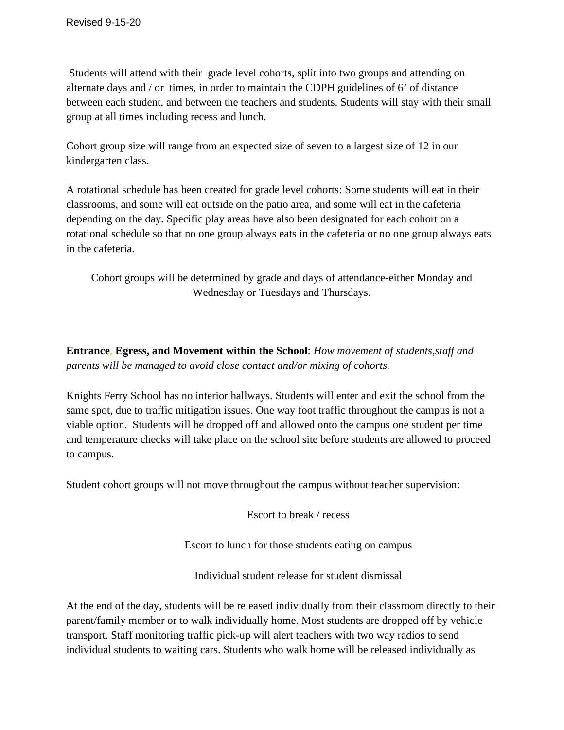Students will attend with their grade level cohorts, split into two groups and attending on alternate days and / or times, in order to maintain the CDPH guidelines of 6' of distance between each student, and between the teachers and students. Students will stay with their small group at all times including recess and lunch.

Cohort group size will range from an expected size of seven to a largest size of 12 in our kindergarten class.

A rotational schedule has been created for grade level cohorts: Some students will eat in their classrooms, and some will eat outside on the patio area, and some will eat in the cafeteria depending on the day. Specific play areas have also been designated for each cohort on a rotational schedule so that no one group always eats in the cafeteria or no one group always eats in the cafeteria.

Cohort groups will be determined by grade and days of attendance-either Monday and Wednesday or Tuesdays and Thursdays.

**Entrance, Egress, and Movement within the School**: *How movement of students,staff and parents will be managed to avoid close contact and/or mixing of cohorts.*

Knights Ferry School has no interior hallways. Students will enter and exit the school from the same spot, due to traffic mitigation issues. One way foot traffic throughout the campus is not a viable option. Students will be dropped off and allowed onto the campus one student per time and temperature checks will take place on the school site before students are allowed to proceed to campus.

Student cohort groups will not move throughout the campus without teacher supervision:

Escort to break / recess

Escort to lunch for those students eating on campus

Individual student release for student dismissal

At the end of the day, students will be released individually from their classroom directly to their parent/family member or to walk individually home. Most students are dropped off by vehicle transport. Staff monitoring traffic pick-up will alert teachers with two way radios to send individual students to waiting cars. Students who walk home will be released individually as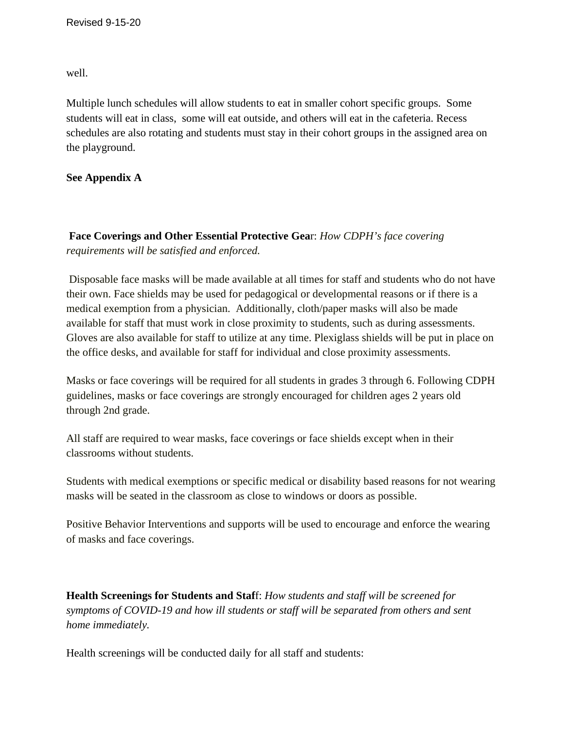well.

Multiple lunch schedules will allow students to eat in smaller cohort specific groups. Some students will eat in class, some will eat outside, and others will eat in the cafeteria. Recess schedules are also rotating and students must stay in their cohort groups in the assigned area on the playground.

### **See Appendix A**

**Face Co***v***erings and Other Essential Protective Gea**r: *How CDPH's face covering requirements will be satisfied and enforced.*

Disposable face masks will be made available at all times for staff and students who do not have their own. Face shields may be used for pedagogical or developmental reasons or if there is a medical exemption from a physician. Additionally, cloth/paper masks will also be made available for staff that must work in close proximity to students, such as during assessments. Gloves are also available for staff to utilize at any time. Plexiglass shields will be put in place on the office desks, and available for staff for individual and close proximity assessments.

Masks or face coverings will be required for all students in grades 3 through 6. Following CDPH guidelines, masks or face coverings are strongly encouraged for children ages 2 years old through 2nd grade.

All staff are required to wear masks, face coverings or face shields except when in their classrooms without students.

Students with medical exemptions or specific medical or disability based reasons for not wearing masks will be seated in the classroom as close to windows or doors as possible.

Positive Behavior Interventions and supports will be used to encourage and enforce the wearing of masks and face coverings.

**Health Screenings for Students and Staf**f: *How students and staff will be screened for symptoms of COVID-19 and how ill students or staff will be separated from others and sent home immediately.* 

Health screenings will be conducted daily for all staff and students: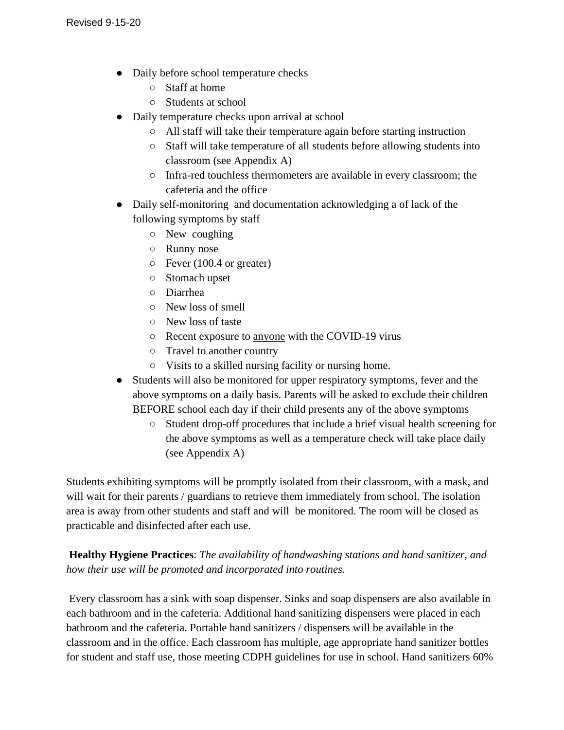- Daily before school temperature checks
	- Staff at home
	- Students at school
- Daily temperature checks upon arrival at school
	- All staff will take their temperature again before starting instruction
	- Staff will take temperature of all students before allowing students into classroom (see Appendix A)
	- Infra-red touchless thermometers are available in every classroom; the cafeteria and the office
- Daily self-monitoring and documentation acknowledging a of lack of the following symptoms by staff
	- New coughing
	- Runny nose
	- Fever (100.4 or greater)
	- Stomach upset
	- Diarrhea
	- New loss of smell
	- New loss of taste
	- Recent exposure to anyone with the COVID-19 virus
	- Travel to another country
	- Visits to a skilled nursing facility or nursing home.
- Students will also be monitored for upper respiratory symptoms, fever and the above symptoms on a daily basis. Parents will be asked to exclude their children BEFORE school each day if their child presents any of the above symptoms
	- Student drop-off procedures that include a brief visual health screening for the above symptoms as well as a temperature check will take place daily (see Appendix A)

Students exhibiting symptoms will be promptly isolated from their classroom, with a mask, and will wait for their parents / guardians to retrieve them immediately from school. The isolation area is away from other students and staff and will be monitored. The room will be closed as practicable and disinfected after each use.

**Healthy Hygiene Practices**: *The availability of handwashing stations and hand sanitizer, and how their use will be promoted and incorporated into routines.*

Every classroom has a sink with soap dispenser. Sinks and soap dispensers are also available in each bathroom and in the cafeteria. Additional hand sanitizing dispensers were placed in each bathroom and the cafeteria. Portable hand sanitizers / dispensers will be available in the classroom and in the office. Each classroom has multiple, age appropriate hand sanitizer bottles for student and staff use, those meeting CDPH guidelines for use in school. Hand sanitizers 60%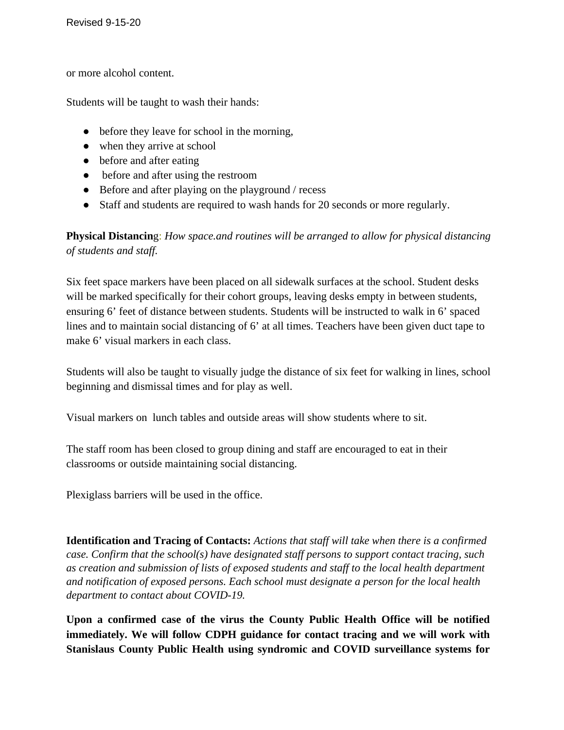or more alcohol content.

Students will be taught to wash their hands:

- before they leave for school in the morning,
- when they arrive at school
- before and after eating
- before and after using the restroom
- Before and after playing on the playground / recess
- Staff and students are required to wash hands for 20 seconds or more regularly.

**Physical Distancin**g: *How space.and routines will be arranged to allow for physical distancing of students and staff.* 

Six feet space markers have been placed on all sidewalk surfaces at the school. Student desks will be marked specifically for their cohort groups, leaving desks empty in between students, ensuring 6' feet of distance between students. Students will be instructed to walk in 6' spaced lines and to maintain social distancing of 6' at all times. Teachers have been given duct tape to make 6' visual markers in each class.

Students will also be taught to visually judge the distance of six feet for walking in lines, school beginning and dismissal times and for play as well.

Visual markers on lunch tables and outside areas will show students where to sit.

The staff room has been closed to group dining and staff are encouraged to eat in their classrooms or outside maintaining social distancing.

Plexiglass barriers will be used in the office.

**Identification and Tracing of Contacts:** *Actions that staff will take when there is a confirmed case. Confirm that the school(s) have designated staff persons to support contact tracing, such as creation and submission of lists of exposed students and staff to the local health department and notification of exposed persons. Each school must designate a person for the local health department to contact about COVID-19.*

**Upon a confirmed case of the virus the County Public Health Office will be notified immediately. We will follow CDPH guidance for contact tracing and we will work with Stanislaus County Public Health using syndromic and COVID surveillance systems for**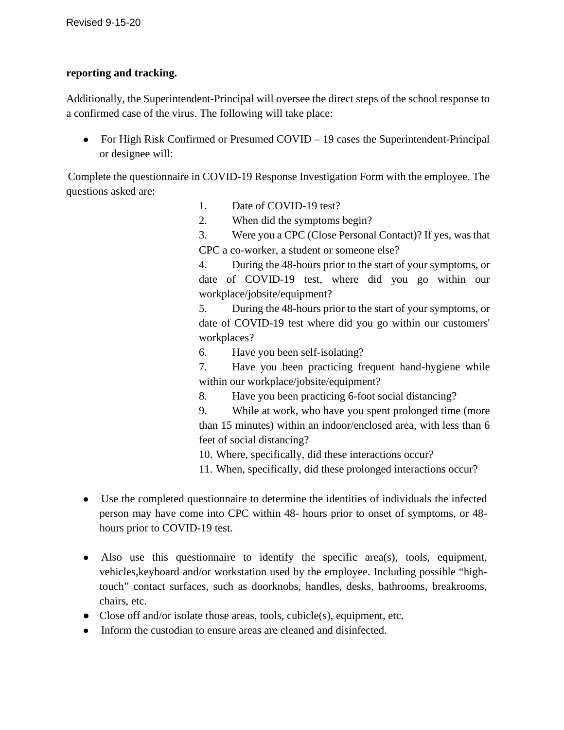#### **reporting and tracking.**

Additionally, the Superintendent-Principal will oversee the direct steps of the school response to a confirmed case of the virus. The following will take place:

• For High Risk Confirmed or Presumed COVID – 19 cases the Superintendent-Principal or designee will:

Complete the questionnaire in COVID-19 Response Investigation Form with the employee. The questions asked are:

- 1. Date of COVID-19 test?
- 2. When did the symptoms begin?
- 3. Were you a CPC (Close Personal Contact)? If yes, was that CPC a co-worker, a student or someone else?

4. During the 48-hours prior to the start of your symptoms, or date of COVID-19 test, where did you go within our workplace/jobsite/equipment?

5. During the 48-hours prior to the start of your symptoms, or date of COVID-19 test where did you go within our customers' workplaces?

6. Have you been self-isolating?

7. Have you been practicing frequent hand-hygiene while within our workplace/jobsite/equipment?

8. Have you been practicing 6-foot social distancing?

9. While at work, who have you spent prolonged time (more than 15 minutes) within an indoor/enclosed area, with less than 6 feet of social distancing?

10. Where, specifically, did these interactions occur?

11. When, specifically, did these prolonged interactions occur?

- Use the completed questionnaire to determine the identities of individuals the infected person may have come into CPC within 48- hours prior to onset of symptoms, or 48 hours prior to COVID-19 test.
- Also use this questionnaire to identify the specific area(s), tools, equipment, vehicles,keyboard and/or workstation used by the employee. Including possible "hightouch" contact surfaces, such as doorknobs, handles, desks, bathrooms, breakrooms, chairs, etc.
- Close off and/or isolate those areas, tools, cubicle(s), equipment, etc.
- Inform the custodian to ensure areas are cleaned and disinfected.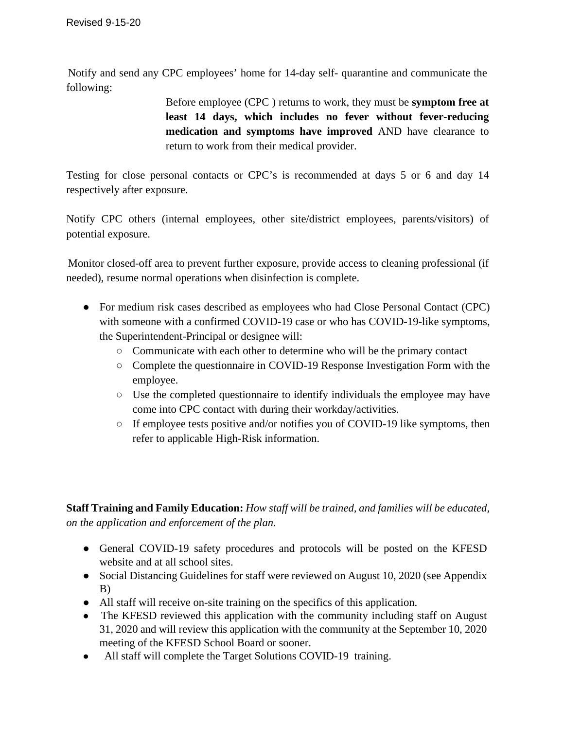Notify and send any CPC employees' home for 14-day self- quarantine and communicate the following:

> Before employee (CPC ) returns to work, they must be **symptom free at least 14 days, which includes no fever without fever-reducing medication and symptoms have improved** AND have clearance to return to work from their medical provider.

Testing for close personal contacts or CPC's is recommended at days 5 or 6 and day 14 respectively after exposure.

Notify CPC others (internal employees, other site/district employees, parents/visitors) of potential exposure.

Monitor closed-off area to prevent further exposure, provide access to cleaning professional (if needed), resume normal operations when disinfection is complete.

- For medium risk cases described as employees who had Close Personal Contact (CPC) with someone with a confirmed COVID-19 case or who has COVID-19-like symptoms, the Superintendent-Principal or designee will:
	- Communicate with each other to determine who will be the primary contact
	- Complete the questionnaire in COVID-19 Response Investigation Form with the employee.
	- Use the completed questionnaire to identify individuals the employee may have come into CPC contact with during their workday/activities.
	- If employee tests positive and/or notifies you of COVID-19 like symptoms, then refer to applicable High-Risk information.

**Staff Training and Family Education:** *How staff will be trained, and families will be educated, on the application and enforcement of the plan.*

- General COVID-19 safety procedures and protocols will be posted on the KFESD website and at all school sites.
- Social Distancing Guidelines for staff were reviewed on August 10, 2020 (see Appendix B)
- All staff will receive on-site training on the specifics of this application.
- The KFESD reviewed this application with the community including staff on August 31, 2020 and will review this application with the community at the September 10, 2020 meeting of the KFESD School Board or sooner.
- All staff will complete the Target Solutions COVID-19 training.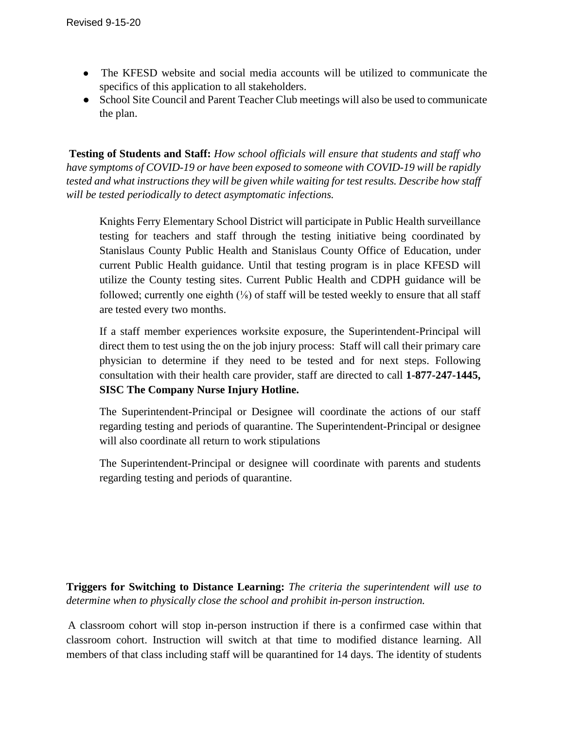- The KFESD website and social media accounts will be utilized to communicate the specifics of this application to all stakeholders.
- School Site Council and Parent Teacher Club meetings will also be used to communicate the plan.

**Testing of Students and Staff:** *How school officials will ensure that students and staff who have symptoms of COVID-19 or have been exposed to someone with COVID-19 will be rapidly tested and what instructions they will be given while waiting for test results. Describe how staff will be tested periodically to detect asymptomatic infections.*

Knights Ferry Elementary School District will participate in Public Health surveillance testing for teachers and staff through the testing initiative being coordinated by Stanislaus County Public Health and Stanislaus County Office of Education, under current Public Health guidance. Until that testing program is in place KFESD will utilize the County testing sites. Current Public Health and CDPH guidance will be followed; currently one eighth  $(\frac{1}{8})$  of staff will be tested weekly to ensure that all staff are tested every two months.

If a staff member experiences worksite exposure, the Superintendent-Principal will direct them to test using the on the job injury process: Staff will call their primary care physician to determine if they need to be tested and for next steps. Following consultation with their health care provider, staff are directed to call **1-877-247-1445, SISC The Company Nurse Injury Hotline.** 

The Superintendent-Principal or Designee will coordinate the actions of our staff regarding testing and periods of quarantine. The Superintendent-Principal or designee will also coordinate all return to work stipulations

The Superintendent-Principal or designee will coordinate with parents and students regarding testing and periods of quarantine.

**Triggers for Switching to Distance Learning:** *The criteria the superintendent will use to determine when to physically close the school and prohibit in-person instruction.*

A classroom cohort will stop in-person instruction if there is a confirmed case within that classroom cohort. Instruction will switch at that time to modified distance learning. All members of that class including staff will be quarantined for 14 days. The identity of students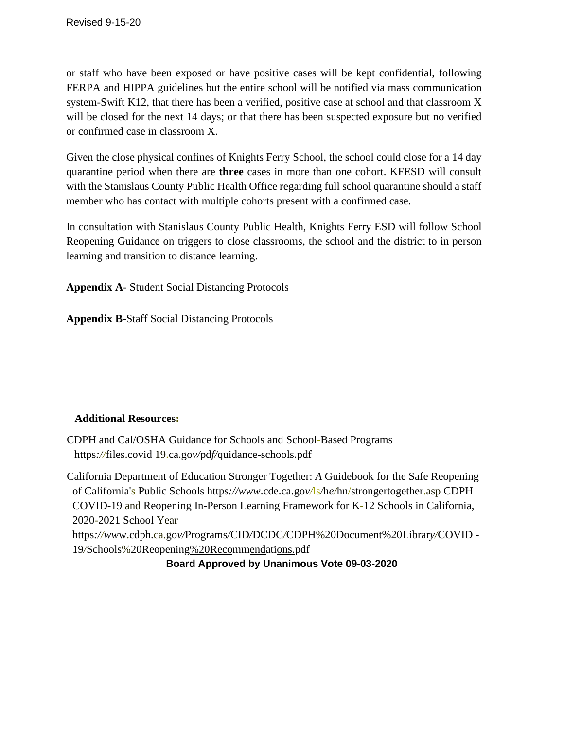or staff who have been exposed or have positive cases will be kept confidential, following FERPA and HIPPA guidelines but the entire school will be notified via mass communication system-Swift K12, that there has been a verified, positive case at school and that classroom X will be closed for the next 14 days; or that there has been suspected exposure but no verified or confirmed case in classroom X.

Given the close physical confines of Knights Ferry School, the school could close for a 14 day quarantine period when there are **three** cases in more than one cohort. KFESD will consult with the Stanislaus County Public Health Office regarding full school quarantine should a staff member who has contact with multiple cohorts present with a confirmed case.

In consultation with Stanislaus County Public Health, Knights Ferry ESD will follow School Reopening Guidance on triggers to close classrooms, the school and the district to in person learning and transition to distance learning.

**Appendix A**- Student Social Distancing Protocols

**Appendix B**-Staff Social Distancing Protocols

### **Additional Resources:**

CDPH and Cal/OSHA Guidance for Schools and School-Based Programs https*://*files.covid 19.ca.go*v/*pd*f/*quidance-schools.pdf

California Department of Education Stronger Together: *A* Guidebook for the Safe Reopening of California's Public Schools https*://www*.cde.ca.go*v/*ls*/*h*e/*hn/strongertogether.asp CDPH COVID-19 and Reopening In-Person Learning Framework for K-12 Schools in California, 2020-2021 School Year https*://ww*w.cdph.ca.go*v/*Programs*/*CID*/*DCDC*/*CDPH%20Document%20Librar*y/*COVID - 19*/*Schools%20Reopening%20Recommendations.pdf

**Board Approved by Unanimous Vote 09-03-2020**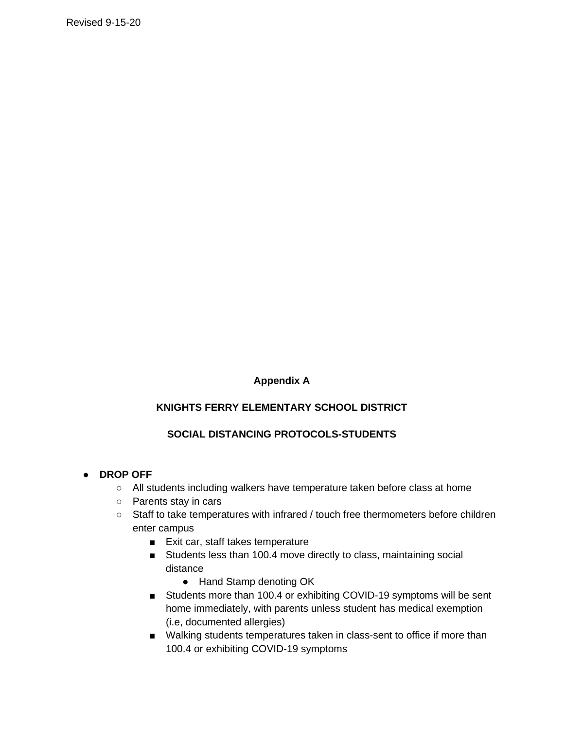# **Appendix A**

# **KNIGHTS FERRY ELEMENTARY SCHOOL DISTRICT**

### **SOCIAL DISTANCING PROTOCOLS-STUDENTS**

- **DROP OFF**
	- All students including walkers have temperature taken before class at home
	- Parents stay in cars
	- Staff to take temperatures with infrared / touch free thermometers before children enter campus
		- Exit car, staff takes temperature
		- Students less than 100.4 move directly to class, maintaining social distance
			- Hand Stamp denoting OK
		- Students more than 100.4 or exhibiting COVID-19 symptoms will be sent home immediately, with parents unless student has medical exemption (i.e, documented allergies)
		- Walking students temperatures taken in class-sent to office if more than 100.4 or exhibiting COVID-19 symptoms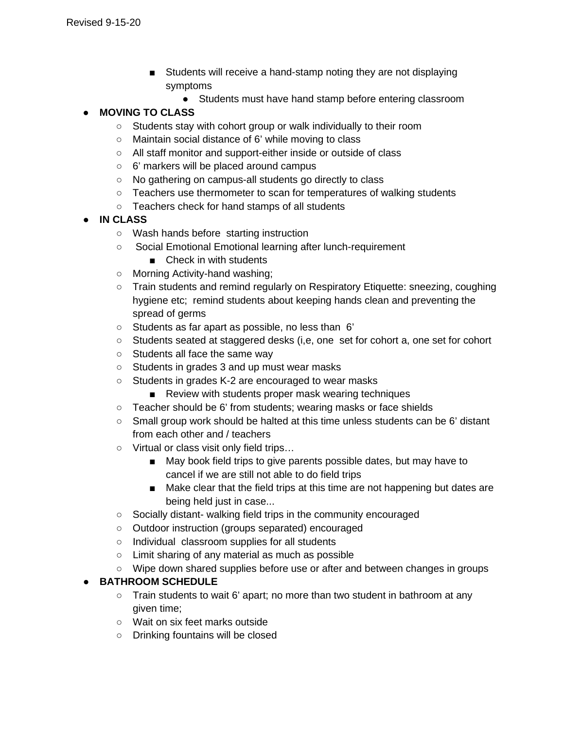- Students will receive a hand-stamp noting they are not displaying symptoms
	- Students must have hand stamp before entering classroom

# ● **MOVING TO CLASS**

- Students stay with cohort group or walk individually to their room
- Maintain social distance of 6' while moving to class
- All staff monitor and support-either inside or outside of class
- 6' markers will be placed around campus
- No gathering on campus-all students go directly to class
- Teachers use thermometer to scan for temperatures of walking students
- Teachers check for hand stamps of all students
- **IN CLASS**
	- Wash hands before starting instruction
	- Social Emotional Emotional learning after lunch-requirement
		- Check in with students
	- Morning Activity-hand washing;
	- Train students and remind regularly on Respiratory Etiquette: sneezing, coughing hygiene etc; remind students about keeping hands clean and preventing the spread of germs
	- Students as far apart as possible, no less than 6'
	- Students seated at staggered desks (i,e, one set for cohort a, one set for cohort
	- Students all face the same way
	- Students in grades 3 and up must wear masks
	- Students in grades K-2 are encouraged to wear masks
		- Review with students proper mask wearing techniques
	- Teacher should be 6' from students; wearing masks or face shields
	- Small group work should be halted at this time unless students can be 6' distant from each other and / teachers
	- Virtual or class visit only field trips…
		- May book field trips to give parents possible dates, but may have to cancel if we are still not able to do field trips
		- Make clear that the field trips at this time are not happening but dates are being held just in case...
	- Socially distant- walking field trips in the community encouraged
	- Outdoor instruction (groups separated) encouraged
	- Individual classroom supplies for all students
	- Limit sharing of any material as much as possible
	- Wipe down shared supplies before use or after and between changes in groups

### ● **BATHROOM SCHEDULE**

- $\circ$  Train students to wait 6' apart; no more than two student in bathroom at any given time;
- Wait on six feet marks outside
- Drinking fountains will be closed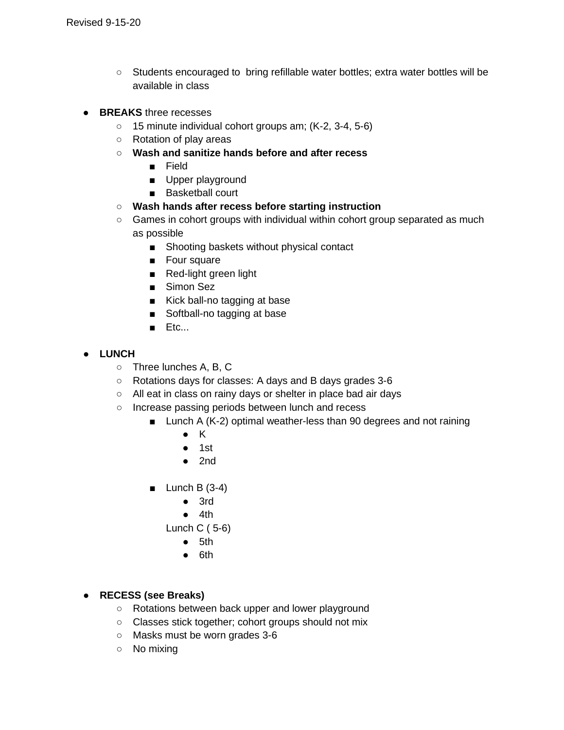- Students encouraged to bring refillable water bottles; extra water bottles will be available in class
- **BREAKS** three recesses
	- 15 minute individual cohort groups am; (K-2, 3-4, 5-6)
	- Rotation of play areas
	- **Wash and sanitize hands before and after recess**
		- Field
		- Upper playground
		- Basketball court
	- **Wash hands after recess before starting instruction**
	- Games in cohort groups with individual within cohort group separated as much as possible
		- Shooting baskets without physical contact
		- Four square
		- Red-light green light
		- Simon Sez
		- Kick ball-no tagging at base
		- Softball-no tagging at base
		- Etc...
- **LUNCH**
	- Three lunches A, B, C
	- Rotations days for classes: A days and B days grades 3-6
	- All eat in class on rainy days or shelter in place bad air days
	- Increase passing periods between lunch and recess
		- Lunch A (K-2) optimal weather-less than 90 degrees and not raining
			- K
			- 1st
			- $\bullet$  2nd
		- $\blacksquare$  Lunch B (3-4)
			- 3rd
			- 4th
			- Lunch C ( 5-6)
				- 5th
				- 6th

#### ● **RECESS (see Breaks)**

- Rotations between back upper and lower playground
- Classes stick together; cohort groups should not mix
- Masks must be worn grades 3-6
- No mixing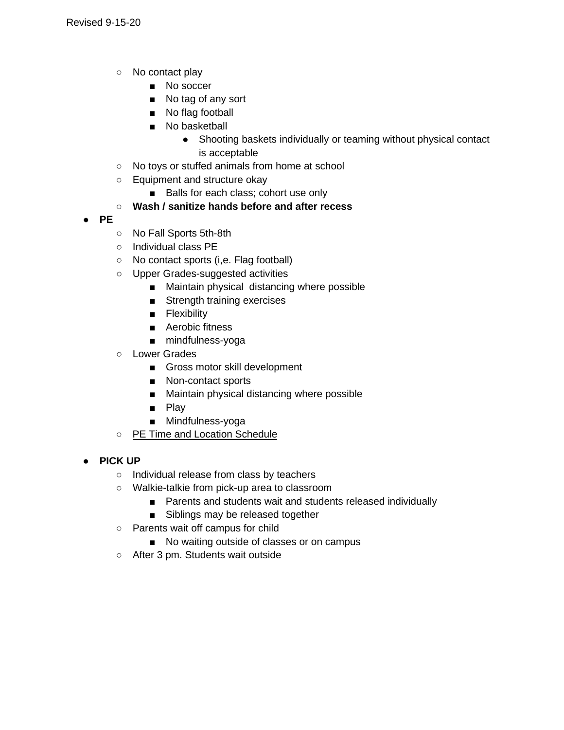- No contact play
	- No soccer
	- No tag of any sort
	- No flag football
	- No basketball
		- Shooting baskets individually or teaming without physical contact is acceptable
- No toys or stuffed animals from home at school
- Equipment and structure okay
	- Balls for each class; cohort use only

# ○ **Wash / sanitize hands before and after recess**

- **PE**
- No Fall Sports 5th-8th
- Individual class PE
- No contact sports (i,e. Flag football)
- Upper Grades-suggested activities
	- Maintain physical distancing where possible
	- Strength training exercises
	- Flexibility
	- Aerobic fitness
	- mindfulness-yoga
- Lower Grades
	- Gross motor skill development
	- Non-contact sports
	- Maintain physical distancing where possible
	- Play
	- Mindfulness-yoga
- PE Time and Location Schedule
- **PICK UP**
	- Individual release from class by teachers
	- Walkie-talkie from pick-up area to classroom
		- Parents and students wait and students released individually
		- Siblings may be released together
	- Parents wait off campus for child
		- No waiting outside of classes or on campus
	- After 3 pm. Students wait outside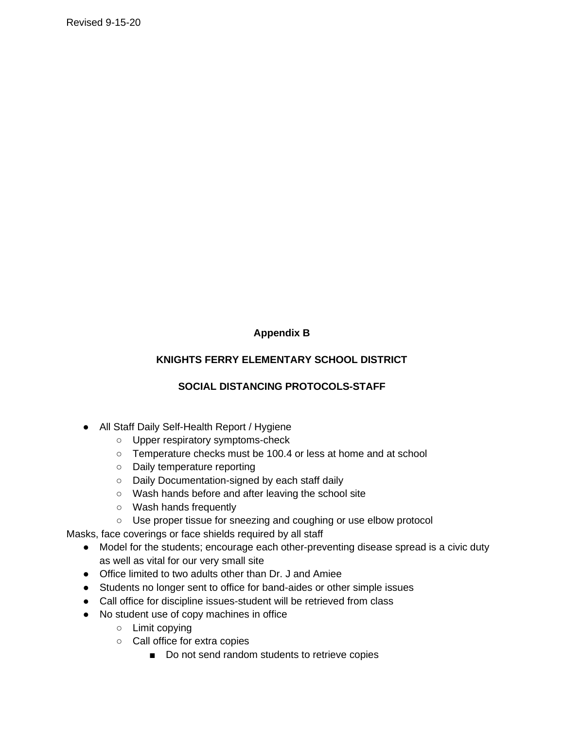# **Appendix B**

### **KNIGHTS FERRY ELEMENTARY SCHOOL DISTRICT**

### **SOCIAL DISTANCING PROTOCOLS-STAFF**

- All Staff Daily Self-Health Report / Hygiene
	- Upper respiratory symptoms-check
	- Temperature checks must be 100.4 or less at home and at school
	- Daily temperature reporting
	- Daily Documentation-signed by each staff daily
	- Wash hands before and after leaving the school site
	- Wash hands frequently
	- Use proper tissue for sneezing and coughing or use elbow protocol

Masks, face coverings or face shields required by all staff

- Model for the students; encourage each other-preventing disease spread is a civic duty as well as vital for our very small site
- Office limited to two adults other than Dr. J and Amiee
- Students no longer sent to office for band-aides or other simple issues
- Call office for discipline issues-student will be retrieved from class
- No student use of copy machines in office
	- Limit copying
	- Call office for extra copies
		- Do not send random students to retrieve copies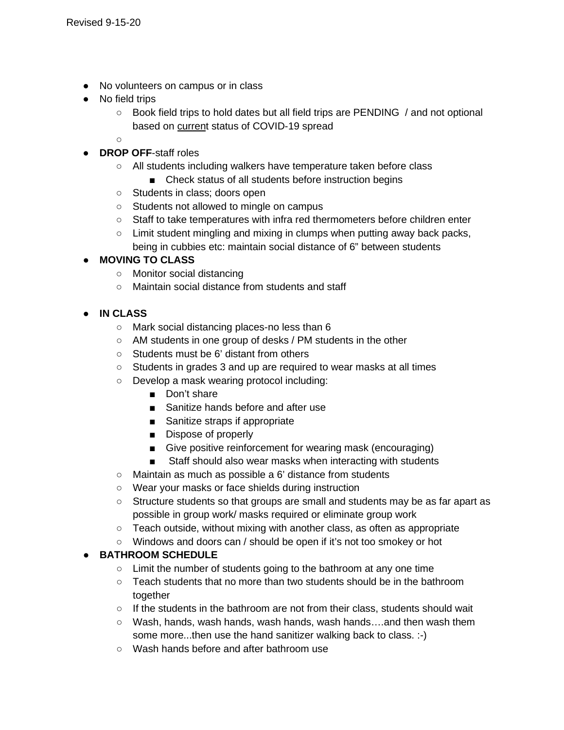- No volunteers on campus or in class
- No field trips
	- Book field trips to hold dates but all field trips are PENDING / and not optional based on current status of COVID-19 spread

○

- **DROP OFF**-staff roles
	- All students including walkers have temperature taken before class
		- Check status of all students before instruction begins
	- Students in class; doors open
	- Students not allowed to mingle on campus
	- Staff to take temperatures with infra red thermometers before children enter
	- o Limit student mingling and mixing in clumps when putting away back packs, being in cubbies etc: maintain social distance of 6" between students

### ● **MOVING TO CLASS**

- Monitor social distancing
- Maintain social distance from students and staff

### ● **IN CLASS**

- Mark social distancing places-no less than 6
- AM students in one group of desks / PM students in the other
- Students must be 6' distant from others
- Students in grades 3 and up are required to wear masks at all times
- Develop a mask wearing protocol including:
	- Don't share
	- Sanitize hands before and after use
	- Sanitize straps if appropriate
	- Dispose of properly
	- Give positive reinforcement for wearing mask (encouraging)
	- Staff should also wear masks when interacting with students
- Maintain as much as possible a 6' distance from students
- Wear your masks or face shields during instruction
- Structure students so that groups are small and students may be as far apart as possible in group work/ masks required or eliminate group work
- Teach outside, without mixing with another class, as often as appropriate
- Windows and doors can / should be open if it's not too smokey or hot

### ● **BATHROOM SCHEDULE**

- Limit the number of students going to the bathroom at any one time
- Teach students that no more than two students should be in the bathroom together
- If the students in the bathroom are not from their class, students should wait
- Wash, hands, wash hands, wash hands, wash hands….and then wash them some more...then use the hand sanitizer walking back to class. :-)
- Wash hands before and after bathroom use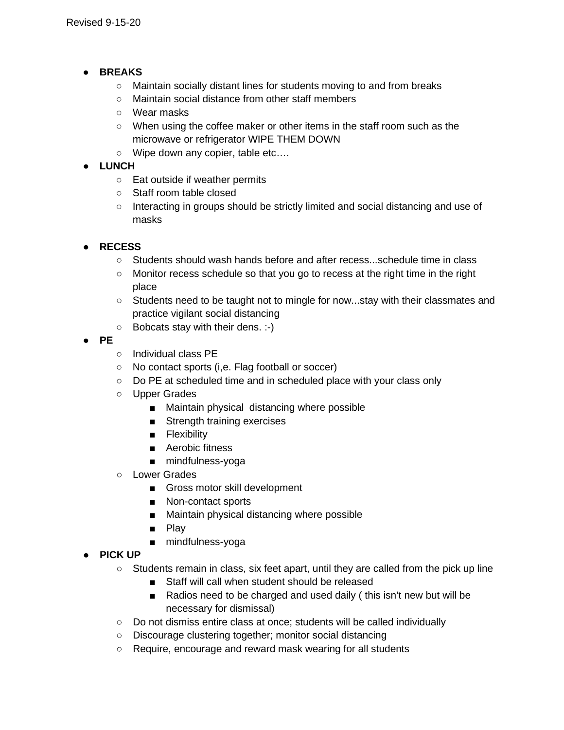- **BREAKS**
	- Maintain socially distant lines for students moving to and from breaks
	- Maintain social distance from other staff members
	- Wear masks
	- When using the coffee maker or other items in the staff room such as the microwave or refrigerator WIPE THEM DOWN
	- Wipe down any copier, table etc....

### ● **LUNCH**

- Eat outside if weather permits
- Staff room table closed
- Interacting in groups should be strictly limited and social distancing and use of masks

# ● **RECESS**

- Students should wash hands before and after recess...schedule time in class
- Monitor recess schedule so that you go to recess at the right time in the right place
- Students need to be taught not to mingle for now...stay with their classmates and practice vigilant social distancing
- Bobcats stay with their dens. :-)
- **PE**
- Individual class PE
- No contact sports (i,e. Flag football or soccer)
- Do PE at scheduled time and in scheduled place with your class only
- Upper Grades
	- Maintain physical distancing where possible
	- Strength training exercises
	- Flexibility
	- Aerobic fitness
	- mindfulness-yoga
- Lower Grades
	- Gross motor skill development
	- Non-contact sports
	- Maintain physical distancing where possible
	- Play
	- mindfulness-yoga

### ● **PICK UP**

- $\circ$  Students remain in class, six feet apart, until they are called from the pick up line
	- Staff will call when student should be released
	- Radios need to be charged and used daily (this isn't new but will be necessary for dismissal)
- Do not dismiss entire class at once; students will be called individually
- Discourage clustering together; monitor social distancing
- Require, encourage and reward mask wearing for all students